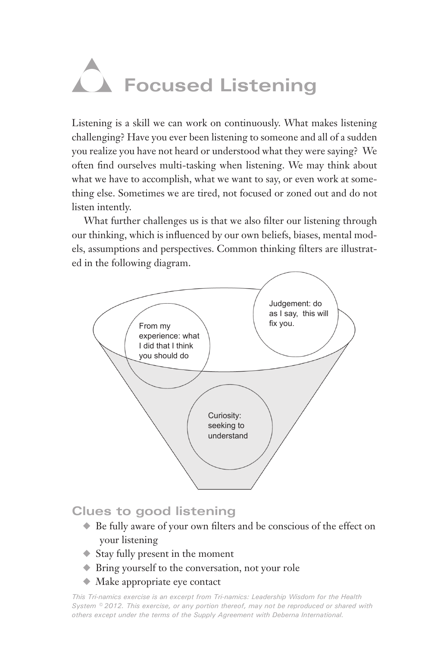## **Focused Listening**

Listening is a skill we can work on continuously. What makes listening challenging? Have you ever been listening to someone and all of a sudden you realize you have not heard or understood what they were saying? We often find ourselves multi-tasking when listening. We may think about what we have to accomplish, what we want to say, or even work at something else. Sometimes we are tired, not focused or zoned out and do not listen intently.

What further challenges us is that we also filter our listening through our thinking, which is influenced by our own beliefs, biases, mental models, assumptions and perspectives. Common thinking filters are illustrated in the following diagram.



## **Clues to good listening**

- V Be fully aware of your own filters and be conscious of the effect on your listening
- $\blacklozenge$  Stay fully present in the moment
- V Bring yourself to the conversation, not your role
- V Make appropriate eye contact

*This Tri-namics exercise is an excerpt from Tri-namics: Leadership Wisdom for the Health System © 2012. This exercise, or any portion thereof, may not be reproduced or shared with others except under the terms of the Supply Agreement with Deberna International.*